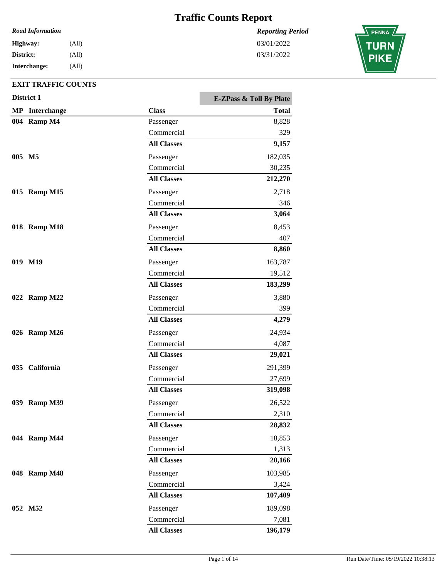### *Road Information*

**Interchange: District: Highway:** (All) (All) (All)

### **EXIT TRAFFIC COUNTS**

|        | District 1            |                         | <b>E-ZPass &amp; Toll By Plate</b> |
|--------|-----------------------|-------------------------|------------------------------------|
|        | <b>MP</b> Interchange | <b>Class</b>            | <b>Total</b>                       |
|        | 004 Ramp M4           | Passenger               | 8,828                              |
|        |                       | Commercial              | 329                                |
|        |                       | <b>All Classes</b>      | 9,157                              |
| 005 M5 |                       | Passenger               | 182,035                            |
|        |                       | Commercial              | 30,235                             |
|        |                       | <b>All Classes</b>      | 212,270                            |
|        | 015 Ramp M15          | Passenger               | 2,718                              |
|        |                       | Commercial              | 346                                |
|        |                       | <b>All Classes</b>      | 3,064                              |
|        | 018 Ramp M18          | Passenger               | 8,453                              |
|        |                       | Commercial              | 407                                |
|        |                       | <b>All Classes</b>      | 8,860                              |
|        | 019 M19               | Passenger               | 163,787                            |
|        |                       | Commercial              | 19,512                             |
|        |                       | <b>All Classes</b>      | 183,299                            |
|        | 022 Ramp M22          | Passenger               | 3,880                              |
|        |                       | Commercial              | 399                                |
|        |                       | <b>All Classes</b>      | 4,279                              |
|        | 026 Ramp M26          | Passenger               | 24,934                             |
|        |                       | Commercial              | 4,087                              |
|        |                       | <b>All Classes</b>      | 29,021                             |
|        |                       |                         |                                    |
|        | 035 California        | Passenger<br>Commercial | 291,399<br>27,699                  |
|        |                       | <b>All Classes</b>      | 319,098                            |
|        |                       |                         |                                    |
|        | 039 Ramp M39          | Passenger               | 26,522                             |
|        |                       | Commercial              | 2,310                              |
|        |                       | <b>All Classes</b>      | 28,832                             |
|        | 044 Ramp M44          | Passenger               | 18,853                             |
|        |                       | Commercial              | 1,313                              |
|        |                       | <b>All Classes</b>      | 20,166                             |
|        | 048 Ramp M48          | Passenger               | 103,985                            |
|        |                       | Commercial              | 3,424                              |
|        |                       | <b>All Classes</b>      | 107,409                            |
|        | 052 M52               | Passenger               | 189,098                            |
|        |                       | Commercial              | 7,081                              |
|        |                       | <b>All Classes</b>      | 196,179                            |

*Reporting Period* 03/01/2022

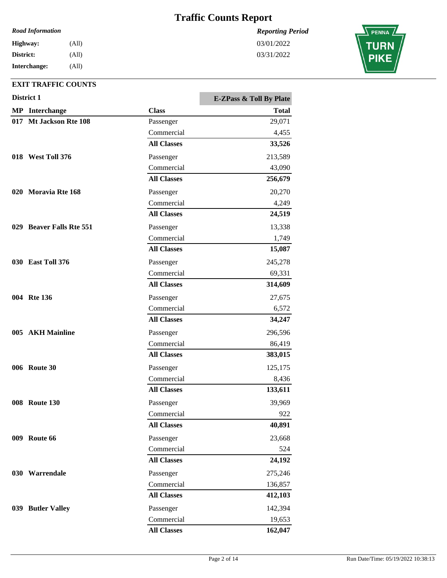*Reporting Period*

03/01/2022 03/31/2022

### *Road Information*

**Interchange: District: Highway:** (All) (All) (All)

|     | District 1               |                    | <b>E-ZPass &amp; Toll By Plate</b> |
|-----|--------------------------|--------------------|------------------------------------|
|     | <b>MP</b> Interchange    | <b>Class</b>       | <b>Total</b>                       |
|     | 017 Mt Jackson Rte 108   | Passenger          | 29,071                             |
|     |                          | Commercial         | 4,455                              |
|     |                          | <b>All Classes</b> | 33,526                             |
|     | 018 West Toll 376        | Passenger          | 213,589                            |
|     |                          | Commercial         | 43,090                             |
|     |                          | <b>All Classes</b> | 256,679                            |
|     | 020 Moravia Rte 168      | Passenger          | 20,270                             |
|     |                          | Commercial         | 4,249                              |
|     |                          | <b>All Classes</b> | 24,519                             |
|     | 029 Beaver Falls Rte 551 | Passenger          | 13,338                             |
|     |                          | Commercial         | 1,749                              |
|     |                          | <b>All Classes</b> | 15,087                             |
|     | 030 East Toll 376        | Passenger          | 245,278                            |
|     |                          | Commercial         | 69,331                             |
|     |                          | <b>All Classes</b> | 314,609                            |
|     | 004 Rte 136              | Passenger          | 27,675                             |
|     |                          | Commercial         | 6,572                              |
|     |                          | <b>All Classes</b> | 34,247                             |
| 005 | <b>AKH Mainline</b>      | Passenger          | 296,596                            |
|     |                          | Commercial         | 86,419                             |
|     |                          | <b>All Classes</b> | 383,015                            |
|     | <b>006</b> Route 30      | Passenger          | 125,175                            |
|     |                          | Commercial         | 8,436                              |
|     |                          | <b>All Classes</b> | 133,611                            |
|     | <b>008</b> Route 130     | Passenger          | 39,969                             |
|     |                          | Commercial         | 922                                |
|     |                          | <b>All Classes</b> | 40,891                             |
|     | <b>009</b> Route 66      | Passenger          | 23,668                             |
|     |                          | Commercial         | 524                                |
|     |                          | <b>All Classes</b> | 24,192                             |
|     | 030 Warrendale           | Passenger          | 275,246                            |
|     |                          | Commercial         | 136,857                            |
|     |                          | <b>All Classes</b> | 412,103                            |
|     | 039 Butler Valley        | Passenger          | 142,394                            |
|     |                          | Commercial         | 19,653                             |
|     |                          | <b>All Classes</b> | 162,047                            |

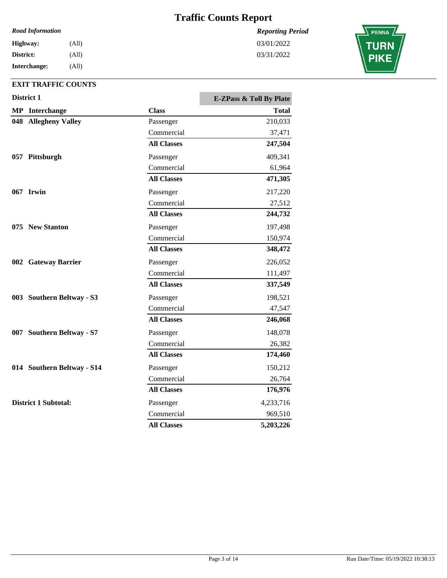#### *Road Information*

| Highway:     | (All) |
|--------------|-------|
| District:    | (All) |
| Interchange: | (All) |

### **EXIT TRAFFIC COUNTS**

| District 1 |                             | <b>E-ZPass &amp; Toll By Plate</b> |           |
|------------|-----------------------------|------------------------------------|-----------|
|            | <b>MP</b> Interchange       | <b>Class</b>                       | Total     |
| 048        | <b>Allegheny Valley</b>     | Passenger                          | 210,033   |
|            |                             | Commercial                         | 37,471    |
|            |                             | <b>All Classes</b>                 | 247,504   |
|            | 057 Pittsburgh              | Passenger                          | 409,341   |
|            |                             | Commercial                         | 61,964    |
|            |                             | <b>All Classes</b>                 | 471,305   |
|            | 067 Irwin                   | Passenger                          | 217,220   |
|            |                             | Commercial                         | 27,512    |
|            |                             | <b>All Classes</b>                 | 244,732   |
|            | 075 New Stanton             | Passenger                          | 197,498   |
|            |                             | Commercial                         | 150,974   |
|            |                             | <b>All Classes</b>                 | 348,472   |
|            | 002 Gateway Barrier         | Passenger                          | 226,052   |
|            |                             | Commercial                         | 111,497   |
|            |                             | <b>All Classes</b>                 | 337,549   |
|            | 003 Southern Beltway - S3   | Passenger                          | 198,521   |
|            |                             | Commercial                         | 47,547    |
|            |                             | <b>All Classes</b>                 | 246,068   |
|            | 007 Southern Beltway - S7   | Passenger                          | 148,078   |
|            |                             | Commercial                         | 26,382    |
|            |                             | <b>All Classes</b>                 | 174,460   |
|            | 014 Southern Beltway - S14  | Passenger                          | 150,212   |
|            |                             | Commercial                         | 26,764    |
|            |                             | <b>All Classes</b>                 | 176,976   |
|            | <b>District 1 Subtotal:</b> | Passenger                          | 4,233,716 |
|            |                             | Commercial                         | 969,510   |
|            |                             | <b>All Classes</b>                 | 5,203,226 |

*Reporting Period* 03/01/2022

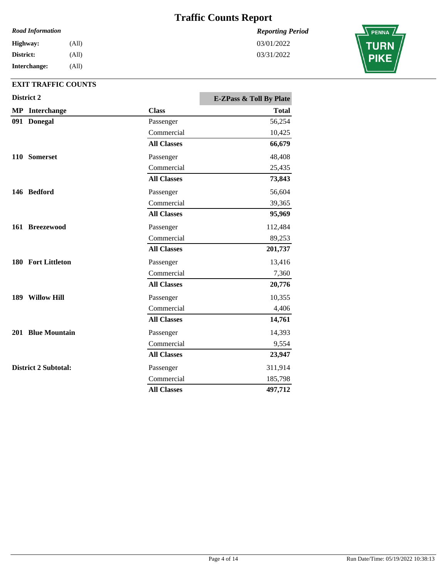#### *Road Information*

| Highway:     | (All) |
|--------------|-------|
| District:    | (All) |
| Interchange: | (All) |

### **EXIT TRAFFIC COUNTS**

| District 2                  |                    | <b>E-ZPass &amp; Toll By Plate</b> |
|-----------------------------|--------------------|------------------------------------|
| <b>MP</b> Interchange       | <b>Class</b>       | <b>Total</b>                       |
| 091 Donegal                 | Passenger          | 56,254                             |
|                             | Commercial         | 10,425                             |
|                             | <b>All Classes</b> | 66,679                             |
| 110 Somerset                | Passenger          | 48,408                             |
|                             | Commercial         | 25,435                             |
|                             | <b>All Classes</b> | 73,843                             |
| 146 Bedford                 | Passenger          | 56,604                             |
|                             | Commercial         | 39,365                             |
|                             | <b>All Classes</b> | 95,969                             |
| 161 Breezewood              | Passenger          | 112,484                            |
|                             | Commercial         | 89,253                             |
|                             | <b>All Classes</b> | 201,737                            |
| 180 Fort Littleton          | Passenger          | 13,416                             |
|                             | Commercial         | 7,360                              |
|                             | <b>All Classes</b> | 20,776                             |
| 189 Willow Hill             | Passenger          | 10,355                             |
|                             | Commercial         | 4,406                              |
|                             | <b>All Classes</b> | 14,761                             |
| 201 Blue Mountain           | Passenger          | 14,393                             |
|                             | Commercial         | 9,554                              |
|                             | <b>All Classes</b> | 23,947                             |
| <b>District 2 Subtotal:</b> | Passenger          | 311,914                            |
|                             | Commercial         | 185,798                            |
|                             | <b>All Classes</b> | 497,712                            |

*Reporting Period* 03/01/2022

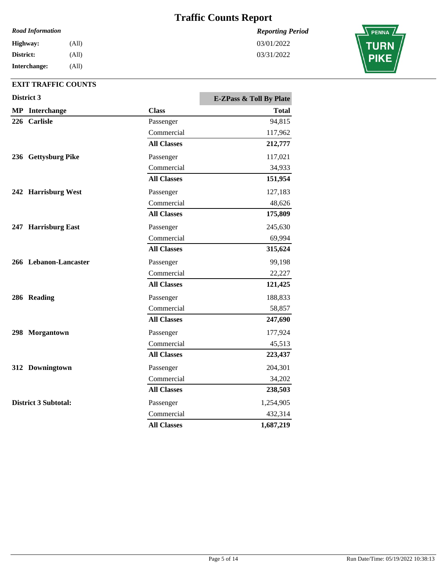*Reporting Period*

03/01/2022 03/31/2022

#### *Road Information*

**Interchange: District: Highway:** (All) (All) (All)

|  | District 3                  | <b>E-ZPass &amp; Toll By Plate</b> |              |
|--|-----------------------------|------------------------------------|--------------|
|  | <b>MP</b> Interchange       | <b>Class</b>                       | <b>Total</b> |
|  | 226 Carlisle                | Passenger                          | 94,815       |
|  |                             | Commercial                         | 117,962      |
|  |                             | <b>All Classes</b>                 | 212,777      |
|  | 236 Gettysburg Pike         | Passenger                          | 117,021      |
|  |                             | Commercial                         | 34,933       |
|  |                             | <b>All Classes</b>                 | 151,954      |
|  | 242 Harrisburg West         | Passenger                          | 127,183      |
|  |                             | Commercial                         | 48,626       |
|  |                             | <b>All Classes</b>                 | 175,809      |
|  | 247 Harrisburg East         | Passenger                          | 245,630      |
|  |                             | Commercial                         | 69,994       |
|  |                             | <b>All Classes</b>                 | 315,624      |
|  | 266 Lebanon-Lancaster       | Passenger                          | 99,198       |
|  |                             | Commercial                         | 22,227       |
|  |                             | <b>All Classes</b>                 | 121,425      |
|  | 286 Reading                 | Passenger                          | 188,833      |
|  |                             | Commercial                         | 58,857       |
|  |                             | <b>All Classes</b>                 | 247,690      |
|  | 298 Morgantown              | Passenger                          | 177,924      |
|  |                             | Commercial                         | 45,513       |
|  |                             | <b>All Classes</b>                 | 223,437      |
|  | 312 Downingtown             | Passenger                          | 204,301      |
|  |                             | Commercial                         | 34,202       |
|  |                             | <b>All Classes</b>                 | 238,503      |
|  | <b>District 3 Subtotal:</b> | Passenger                          | 1,254,905    |
|  |                             | Commercial                         | 432,314      |
|  |                             | <b>All Classes</b>                 | 1,687,219    |

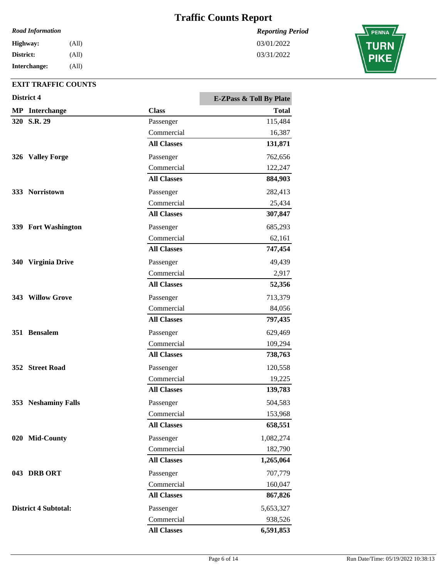*Reporting Period*

03/01/2022 03/31/2022

#### *Road Information*

| <b>Highway:</b> | (All) |
|-----------------|-------|
| District:       | (All) |
| Interchange:    | (All) |

|            | District 4                  |                    | <b>E-ZPass &amp; Toll By Plate</b> |
|------------|-----------------------------|--------------------|------------------------------------|
|            | <b>MP</b> Interchange       | <b>Class</b>       | <b>Total</b>                       |
|            | 320 S.R. 29                 | Passenger          | 115,484                            |
|            |                             | Commercial         | 16,387                             |
|            |                             | <b>All Classes</b> | 131,871                            |
| 326        | <b>Valley Forge</b>         | Passenger          | 762,656                            |
|            |                             | Commercial         | 122,247                            |
|            |                             | <b>All Classes</b> | 884,903                            |
|            | 333 Norristown              | Passenger          | 282,413                            |
|            |                             | Commercial         | 25,434                             |
|            |                             | <b>All Classes</b> | 307,847                            |
|            | 339 Fort Washington         | Passenger          | 685,293                            |
|            |                             | Commercial         | 62,161                             |
|            |                             | <b>All Classes</b> | 747,454                            |
| <b>340</b> | <b>Virginia Drive</b>       | Passenger          | 49,439                             |
|            |                             | Commercial         | 2,917                              |
|            |                             | <b>All Classes</b> | 52,356                             |
|            | 343 Willow Grove            | Passenger          | 713,379                            |
|            |                             | Commercial         | 84,056                             |
|            |                             | <b>All Classes</b> | 797,435                            |
|            | 351 Bensalem                | Passenger          | 629,469                            |
|            |                             | Commercial         | 109,294                            |
|            |                             | <b>All Classes</b> | 738,763                            |
|            | 352 Street Road             | Passenger          | 120,558                            |
|            |                             | Commercial         | 19,225                             |
|            |                             | <b>All Classes</b> | 139,783                            |
|            | 353 Neshaminy Falls         | Passenger          | 504,583                            |
|            |                             | Commercial         | 153,968                            |
|            |                             | <b>All Classes</b> | 658,551                            |
|            | 020 Mid-County              | Passenger          | 1,082,274                          |
|            |                             | Commercial         | 182,790                            |
|            |                             | <b>All Classes</b> | 1,265,064                          |
|            | 043 DRB ORT                 | Passenger          | 707,779                            |
|            |                             | Commercial         | 160,047                            |
|            |                             | <b>All Classes</b> | 867,826                            |
|            | <b>District 4 Subtotal:</b> | Passenger          | 5,653,327                          |
|            |                             | Commercial         | 938,526                            |
|            |                             | <b>All Classes</b> | 6,591,853                          |

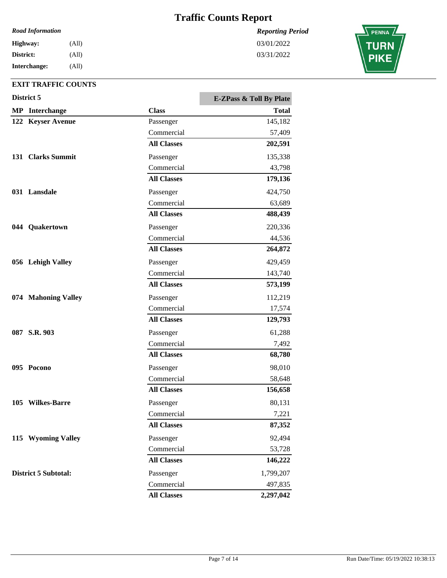*Reporting Period*

03/01/2022 03/31/2022

#### *Road Information*

| Highway:     | (All) |
|--------------|-------|
| District:    | (All) |
| Interchange: | (All) |

| District 5                  |                    | <b>E-ZPass &amp; Toll By Plate</b> |
|-----------------------------|--------------------|------------------------------------|
| <b>MP</b> Interchange       | <b>Class</b>       | <b>Total</b>                       |
| 122 Keyser Avenue           | Passenger          | 145,182                            |
|                             | Commercial         | 57,409                             |
|                             | <b>All Classes</b> | 202,591                            |
| 131 Clarks Summit           | Passenger          | 135,338                            |
|                             | Commercial         | 43,798                             |
|                             | <b>All Classes</b> | 179,136                            |
| 031 Lansdale                | Passenger          | 424,750                            |
|                             | Commercial         | 63,689                             |
|                             | <b>All Classes</b> | 488,439                            |
| 044 Quakertown              | Passenger          | 220,336                            |
|                             | Commercial         | 44,536                             |
|                             | <b>All Classes</b> | 264,872                            |
| 056 Lehigh Valley           | Passenger          | 429,459                            |
|                             | Commercial         | 143,740                            |
|                             | <b>All Classes</b> | 573,199                            |
| 074 Mahoning Valley         | Passenger          | 112,219                            |
|                             | Commercial         | 17,574                             |
|                             | <b>All Classes</b> | 129,793                            |
| 087 S.R. 903                | Passenger          | 61,288                             |
|                             | Commercial         | 7,492                              |
|                             | <b>All Classes</b> | 68,780                             |
| 095 Pocono                  | Passenger          | 98,010                             |
|                             | Commercial         | 58,648                             |
|                             | <b>All Classes</b> | 156,658                            |
| 105 Wilkes-Barre            | Passenger          | 80,131                             |
|                             | Commercial         | 7,221                              |
|                             | <b>All Classes</b> | 87,352                             |
| 115 Wyoming Valley          | Passenger          | 92,494                             |
|                             | Commercial         | 53,728                             |
|                             | <b>All Classes</b> | 146,222                            |
| <b>District 5 Subtotal:</b> | Passenger          | 1,799,207                          |
|                             | Commercial         | 497,835                            |
|                             | <b>All Classes</b> | 2,297,042                          |

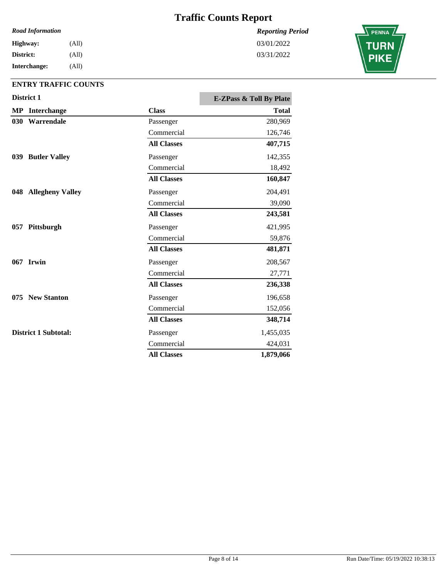#### *Road Information*

**Interchange: District: Highway:** (All) (All) (All)

### **ENTRY TRAFFIC COUNTS**

|     | District 1            |                    | <b>E-ZPass &amp; Toll By Plate</b> |
|-----|-----------------------|--------------------|------------------------------------|
|     | <b>MP</b> Interchange | <b>Class</b>       | <b>Total</b>                       |
| 030 | Warrendale            | Passenger          | 280,969                            |
|     |                       | Commercial         | 126,746                            |
|     |                       | <b>All Classes</b> | 407,715                            |
|     | 039 Butler Valley     | Passenger          | 142,355                            |
|     |                       | Commercial         | 18,492                             |
|     |                       | <b>All Classes</b> | 160,847                            |
|     | 048 Allegheny Valley  | Passenger          | 204,491                            |
|     |                       | Commercial         | 39,090                             |
|     |                       | <b>All Classes</b> | 243,581                            |
|     | 057 Pittsburgh        | Passenger          | 421,995                            |
|     |                       | Commercial         | 59,876                             |
|     |                       | <b>All Classes</b> | 481,871                            |
|     | 067 Irwin             | Passenger          | 208,567                            |
|     |                       | Commercial         | 27,771                             |
|     |                       | <b>All Classes</b> | 236,338                            |
|     | 075 New Stanton       | Passenger          | 196,658                            |
|     |                       | Commercial         | 152,056                            |
|     |                       | <b>All Classes</b> | 348,714                            |
|     | District 1 Subtotal:  | Passenger          | 1,455,035                          |
|     |                       | Commercial         | 424,031                            |
|     |                       | <b>All Classes</b> | 1,879,066                          |

*Reporting Period* 03/01/2022

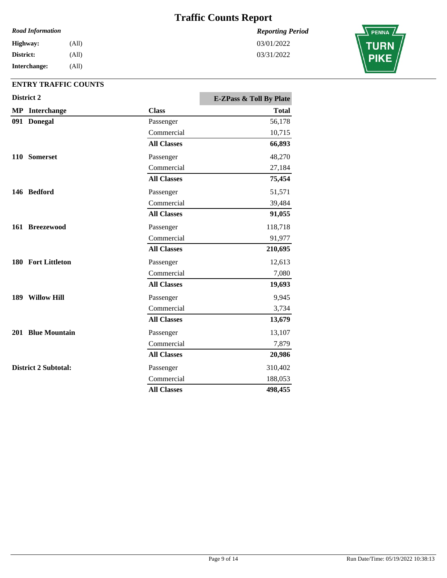#### *Road Information*

**Interchange: District: Highway:** (All) (All) (All)

## **ENTRY TRAFFIC COUNTS**

|  | District 2                  |                    | <b>E-ZPass &amp; Toll By Plate</b> |
|--|-----------------------------|--------------------|------------------------------------|
|  | <b>MP</b> Interchange       | <b>Class</b>       | <b>Total</b>                       |
|  | 091 Donegal                 | Passenger          | 56,178                             |
|  |                             | Commercial         | 10,715                             |
|  |                             | <b>All Classes</b> | 66,893                             |
|  | 110 Somerset                | Passenger          | 48,270                             |
|  |                             | Commercial         | 27,184                             |
|  |                             | <b>All Classes</b> | 75,454                             |
|  | 146 Bedford                 | Passenger          | 51,571                             |
|  |                             | Commercial         | 39,484                             |
|  |                             | <b>All Classes</b> | 91,055                             |
|  | 161 Breezewood              | Passenger          | 118,718                            |
|  |                             | Commercial         | 91,977                             |
|  |                             | <b>All Classes</b> | 210,695                            |
|  | 180 Fort Littleton          | Passenger          | 12,613                             |
|  |                             | Commercial         | 7,080                              |
|  |                             | <b>All Classes</b> | 19,693                             |
|  | 189 Willow Hill             | Passenger          | 9,945                              |
|  |                             | Commercial         | 3,734                              |
|  |                             | <b>All Classes</b> | 13,679                             |
|  | 201 Blue Mountain           | Passenger          | 13,107                             |
|  |                             | Commercial         | 7,879                              |
|  |                             | <b>All Classes</b> | 20,986                             |
|  | <b>District 2 Subtotal:</b> | Passenger          | 310,402                            |
|  |                             | Commercial         | 188,053                            |
|  |                             | <b>All Classes</b> | 498,455                            |

*Reporting Period* 03/01/2022

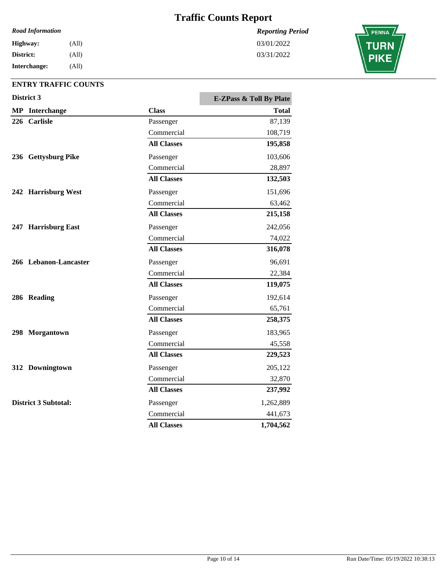#### *Road Information*

**Interchange: District: Highway:** (All) (All) (All)

### **ENTRY TRAFFIC COUNTS**

|  | District 3                  |                    | <b>E-ZPass &amp; Toll By Plate</b> |
|--|-----------------------------|--------------------|------------------------------------|
|  | <b>MP</b> Interchange       | <b>Class</b>       | <b>Total</b>                       |
|  | 226 Carlisle                | Passenger          | 87,139                             |
|  |                             | Commercial         | 108,719                            |
|  |                             | <b>All Classes</b> | 195,858                            |
|  | 236 Gettysburg Pike         | Passenger          | 103,606                            |
|  |                             | Commercial         | 28,897                             |
|  |                             | <b>All Classes</b> | 132,503                            |
|  | 242 Harrisburg West         | Passenger          | 151,696                            |
|  |                             | Commercial         | 63,462                             |
|  |                             | <b>All Classes</b> | 215,158                            |
|  | 247 Harrisburg East         | Passenger          | 242,056                            |
|  |                             | Commercial         | 74,022                             |
|  |                             | <b>All Classes</b> | 316,078                            |
|  | 266 Lebanon-Lancaster       | Passenger          | 96,691                             |
|  |                             | Commercial         | 22,384                             |
|  |                             | <b>All Classes</b> | 119,075                            |
|  | 286 Reading                 | Passenger          | 192,614                            |
|  |                             | Commercial         | 65,761                             |
|  |                             | <b>All Classes</b> | 258,375                            |
|  | 298 Morgantown              | Passenger          | 183,965                            |
|  |                             | Commercial         | 45,558                             |
|  |                             | <b>All Classes</b> | 229,523                            |
|  | 312 Downingtown             | Passenger          | 205,122                            |
|  |                             | Commercial         | 32,870                             |
|  |                             | <b>All Classes</b> | 237,992                            |
|  | <b>District 3 Subtotal:</b> | Passenger          | 1,262,889                          |
|  |                             | Commercial         | 441,673                            |
|  |                             | <b>All Classes</b> | 1,704,562                          |

*Reporting Period* 03/01/2022

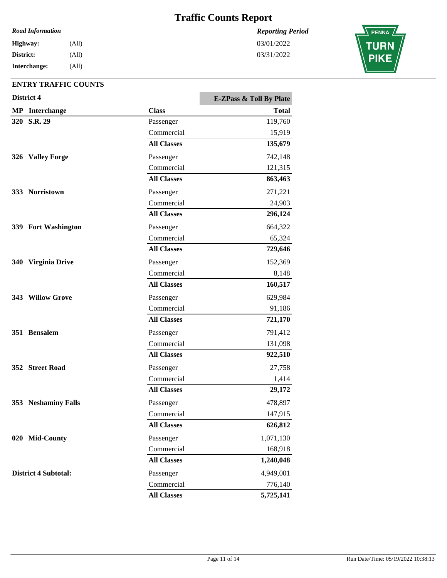#### *Road Information*

**Interchange: District: Highway:** (All) (All) (All)

### **ENTRY TRAFFIC COUNTS**

|     | District 4                  |                    | <b>E-ZPass &amp; Toll By Plate</b> |
|-----|-----------------------------|--------------------|------------------------------------|
|     | <b>MP</b> Interchange       | <b>Class</b>       | <b>Total</b>                       |
|     | 320 S.R. 29                 | Passenger          | 119,760                            |
|     |                             | Commercial         | 15,919                             |
|     |                             | <b>All Classes</b> | 135,679                            |
|     | 326 Valley Forge            | Passenger          | 742,148                            |
|     |                             | Commercial         | 121,315                            |
|     |                             | <b>All Classes</b> | 863,463                            |
|     | 333 Norristown              | Passenger          | 271,221                            |
|     |                             | Commercial         | 24,903                             |
|     |                             | <b>All Classes</b> | 296,124                            |
|     | 339 Fort Washington         | Passenger          | 664,322                            |
|     |                             | Commercial         | 65,324                             |
|     |                             | <b>All Classes</b> | 729,646                            |
| 340 | <b>Virginia Drive</b>       | Passenger          | 152,369                            |
|     |                             | Commercial         | 8,148                              |
|     |                             | <b>All Classes</b> | 160,517                            |
|     | 343 Willow Grove            | Passenger          | 629,984                            |
|     |                             | Commercial         | 91,186                             |
|     |                             | <b>All Classes</b> | 721,170                            |
|     | 351 Bensalem                | Passenger          | 791,412                            |
|     |                             | Commercial         | 131,098                            |
|     |                             | <b>All Classes</b> | 922,510                            |
|     | 352 Street Road             | Passenger          | 27,758                             |
|     |                             | Commercial         | 1,414                              |
|     |                             | <b>All Classes</b> | 29,172                             |
|     | 353 Neshaminy Falls         | Passenger          | 478,897                            |
|     |                             | Commercial         | 147,915                            |
|     |                             | <b>All Classes</b> | 626,812                            |
|     | 020 Mid-County              | Passenger          | 1,071,130                          |
|     |                             | Commercial         | 168,918                            |
|     |                             | <b>All Classes</b> | 1,240,048                          |
|     | <b>District 4 Subtotal:</b> | Passenger          | 4,949,001                          |
|     |                             | Commercial         | 776,140                            |
|     |                             | <b>All Classes</b> | 5,725,141                          |

*Reporting Period* 03/01/2022

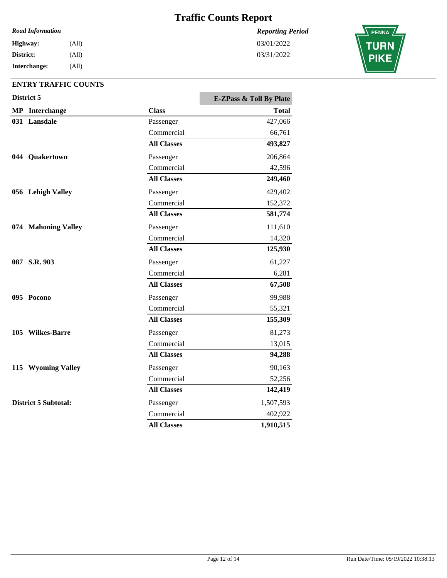#### *Road Information*

**Interchange: District: Highway:** (All) (All) (All)

### **ENTRY TRAFFIC COUNTS**

|  | District 5                  | <b>E-ZPass &amp; Toll By Plate</b> |              |
|--|-----------------------------|------------------------------------|--------------|
|  | <b>MP</b> Interchange       | <b>Class</b>                       | <b>Total</b> |
|  | 031 Lansdale                | Passenger                          | 427,066      |
|  |                             | Commercial                         | 66,761       |
|  |                             | <b>All Classes</b>                 | 493,827      |
|  | 044 Quakertown              | Passenger                          | 206,864      |
|  |                             | Commercial                         | 42,596       |
|  |                             | <b>All Classes</b>                 | 249,460      |
|  | 056 Lehigh Valley           | Passenger                          | 429,402      |
|  |                             | Commercial                         | 152,372      |
|  |                             | <b>All Classes</b>                 | 581,774      |
|  | 074 Mahoning Valley         | Passenger                          | 111,610      |
|  |                             | Commercial                         | 14,320       |
|  |                             | <b>All Classes</b>                 | 125,930      |
|  | 087 S.R. 903                | Passenger                          | 61,227       |
|  |                             | Commercial                         | 6,281        |
|  |                             | <b>All Classes</b>                 | 67,508       |
|  | 095 Pocono                  | Passenger                          | 99,988       |
|  |                             | Commercial                         | 55,321       |
|  |                             | <b>All Classes</b>                 | 155,309      |
|  | 105 Wilkes-Barre            | Passenger                          | 81,273       |
|  |                             | Commercial                         | 13,015       |
|  |                             | <b>All Classes</b>                 | 94,288       |
|  | 115 Wyoming Valley          | Passenger                          | 90,163       |
|  |                             | Commercial                         | 52,256       |
|  |                             | <b>All Classes</b>                 | 142,419      |
|  | <b>District 5 Subtotal:</b> | Passenger                          | 1,507,593    |
|  |                             | Commercial                         | 402,922      |
|  |                             | <b>All Classes</b>                 | 1,910,515    |

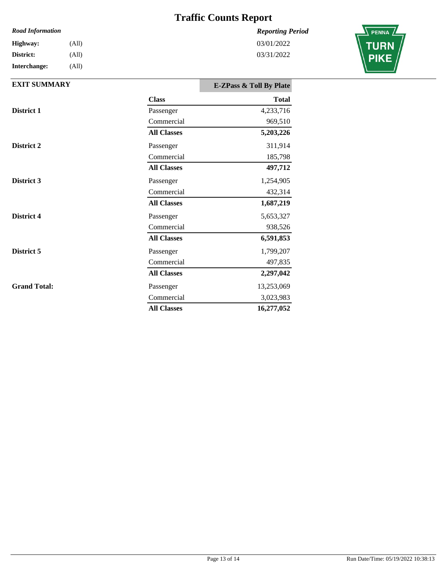### *Reporting Period*

## 03/01/2022 03/31/2022



#### **Interchange:** *Road Information* **District: Highway:** (All) (All) (All)

| <b>EXIT SUMMARY</b> |                    | <b>E-ZPass &amp; Toll By Plate</b> |
|---------------------|--------------------|------------------------------------|
|                     | <b>Class</b>       | <b>Total</b>                       |
| District 1          | Passenger          | 4,233,716                          |
|                     | Commercial         | 969,510                            |
|                     | <b>All Classes</b> | 5,203,226                          |
| District 2          | Passenger          | 311,914                            |
|                     | Commercial         | 185,798                            |
|                     | <b>All Classes</b> | 497,712                            |
| District 3          | Passenger          | 1,254,905                          |
|                     | Commercial         | 432,314                            |
|                     | <b>All Classes</b> | 1,687,219                          |
| District 4          | Passenger          | 5,653,327                          |
|                     | Commercial         | 938,526                            |
|                     | <b>All Classes</b> | 6,591,853                          |
| District 5          | Passenger          | 1,799,207                          |
|                     | Commercial         | 497,835                            |
|                     | <b>All Classes</b> | 2,297,042                          |
| <b>Grand Total:</b> | Passenger          | 13,253,069                         |
|                     | Commercial         | 3,023,983                          |
|                     | <b>All Classes</b> | 16,277,052                         |